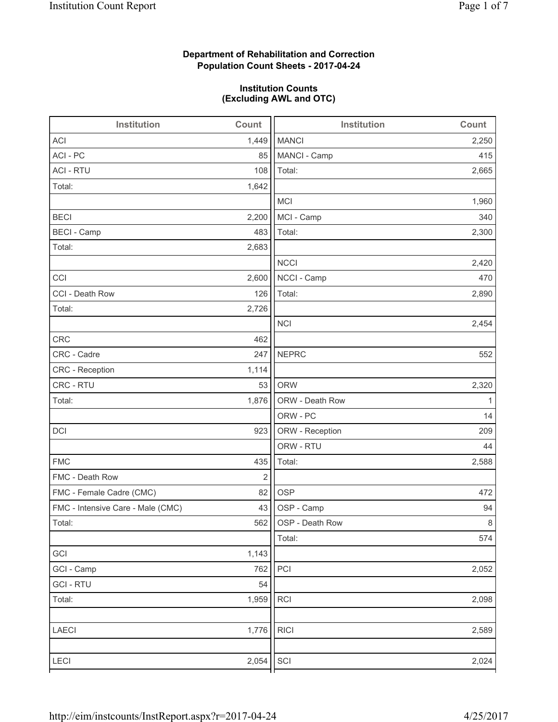# **Department of Rehabilitation and Correction Population Count Sheets - 2017-04-24**

## **Institution Counts (Excluding AWL and OTC)**

| Institution                       | Count | Institution     | Count        |
|-----------------------------------|-------|-----------------|--------------|
| <b>ACI</b>                        | 1,449 | <b>MANCI</b>    | 2,250        |
| ACI - PC                          | 85    | MANCI - Camp    | 415          |
| <b>ACI - RTU</b>                  | 108   | Total:          | 2,665        |
| Total:                            | 1,642 |                 |              |
|                                   |       | MCI             | 1,960        |
| <b>BECI</b>                       | 2,200 | MCI - Camp      | 340          |
| <b>BECI</b> - Camp                | 483   | Total:          | 2,300        |
| Total:                            | 2,683 |                 |              |
|                                   |       | <b>NCCI</b>     | 2,420        |
| CCI                               | 2,600 | NCCI - Camp     | 470          |
| CCI - Death Row                   | 126   | Total:          | 2,890        |
| Total:                            | 2,726 |                 |              |
|                                   |       | <b>NCI</b>      | 2,454        |
| CRC                               | 462   |                 |              |
| CRC - Cadre                       | 247   | <b>NEPRC</b>    | 552          |
| CRC - Reception                   | 1,114 |                 |              |
| CRC - RTU                         | 53    | <b>ORW</b>      | 2,320        |
| Total:                            | 1,876 | ORW - Death Row | $\mathbf{1}$ |
|                                   |       | ORW - PC        | 14           |
| DCI                               | 923   | ORW - Reception | 209          |
|                                   |       | ORW - RTU       | 44           |
| <b>FMC</b>                        | 435   | Total:          | 2,588        |
| FMC - Death Row                   | 2     |                 |              |
| FMC - Female Cadre (CMC)          | 82    | <b>OSP</b>      | 472          |
| FMC - Intensive Care - Male (CMC) | 43    | OSP - Camp      | 94           |
| Total:                            | 562   | OSP - Death Row | 8            |
|                                   |       | Total:          | 574          |
| GCI                               | 1,143 |                 |              |
| GCI - Camp                        | 762   | PCI             | 2,052        |
| <b>GCI-RTU</b>                    | 54    |                 |              |
| Total:                            | 1,959 | <b>RCI</b>      | 2,098        |
|                                   |       |                 |              |
| LAECI                             | 1,776 | <b>RICI</b>     | 2,589        |
| LECI                              | 2,054 | SCI             | 2,024        |
|                                   |       |                 |              |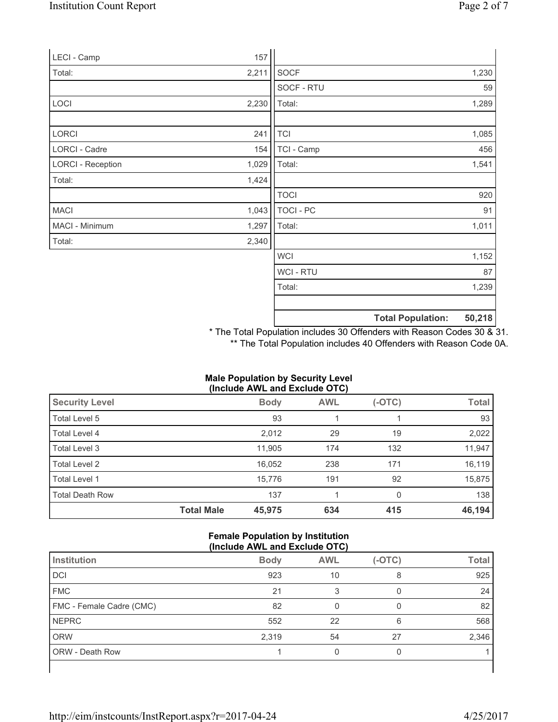| LECI - Camp              | 157   |                  |                          |        |
|--------------------------|-------|------------------|--------------------------|--------|
| Total:                   | 2,211 | <b>SOCF</b>      |                          | 1,230  |
|                          |       | SOCF - RTU       |                          | 59     |
| <b>LOCI</b>              | 2,230 | Total:           |                          | 1,289  |
|                          |       |                  |                          |        |
| <b>LORCI</b>             | 241   | <b>TCI</b>       |                          | 1,085  |
| LORCI - Cadre            | 154   | TCI - Camp       |                          | 456    |
| <b>LORCI - Reception</b> | 1,029 | Total:           |                          | 1,541  |
| Total:                   | 1,424 |                  |                          |        |
|                          |       | <b>TOCI</b>      |                          | 920    |
| <b>MACI</b>              | 1,043 | <b>TOCI - PC</b> |                          | 91     |
| MACI - Minimum           | 1,297 | Total:           |                          | 1,011  |
| Total:                   | 2,340 |                  |                          |        |
|                          |       | <b>WCI</b>       |                          | 1,152  |
|                          |       | <b>WCI-RTU</b>   |                          | 87     |
|                          |       | Total:           |                          | 1,239  |
|                          |       |                  |                          |        |
|                          |       |                  | <b>Total Population:</b> | 50,218 |

\* The Total Population includes 30 Offenders with Reason Codes 30 & 31. \*\* The Total Population includes 40 Offenders with Reason Code 0A.

# **Male Population by Security Level (Include AWL and Exclude OTC)**

| <b>Security Level</b>  |                   | <b>Body</b> | <b>AWL</b> | $(-OTC)$     | <b>Total</b> |
|------------------------|-------------------|-------------|------------|--------------|--------------|
| Total Level 5          |                   | 93          |            |              | 93           |
| Total Level 4          |                   | 2,012       | 29         | 19           | 2,022        |
| Total Level 3          |                   | 11.905      | 174        | 132          | 11,947       |
| Total Level 2          |                   | 16,052      | 238        | 171          | 16,119       |
| Total Level 1          |                   | 15,776      | 191        | 92           | 15,875       |
| <b>Total Death Row</b> |                   | 137         |            | $\mathbf{0}$ | 138          |
|                        | <b>Total Male</b> | 45,975      | 634        | 415          | 46,194       |

## **Female Population by Institution (Include AWL and Exclude OTC)**

| $(II)$ . The contract $I$ is the contract $I$ is the contract of $I$ |             |            |          |              |  |
|----------------------------------------------------------------------|-------------|------------|----------|--------------|--|
| Institution                                                          | <b>Body</b> | <b>AWL</b> | $(-OTC)$ | <b>Total</b> |  |
| DCI                                                                  | 923         | 10         | 8        | 925          |  |
| <b>FMC</b>                                                           | 21          |            |          | 24           |  |
| FMC - Female Cadre (CMC)                                             | 82          |            |          | 82           |  |
| <b>NEPRC</b>                                                         | 552         | 22         | 6        | 568          |  |
| <b>ORW</b>                                                           | 2,319       | 54         | 27       | 2,346        |  |
| <b>ORW - Death Row</b>                                               |             |            |          |              |  |
|                                                                      |             |            |          |              |  |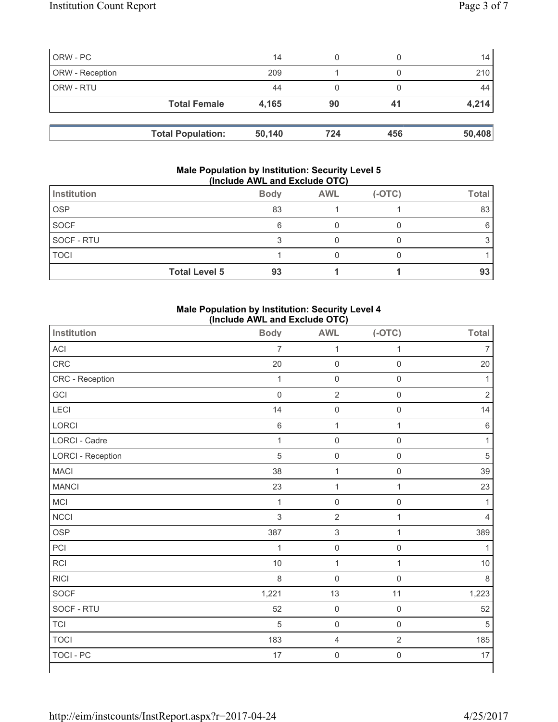| ORW - PC        |                          | 14     |     |     | 14 <sub>1</sub> |
|-----------------|--------------------------|--------|-----|-----|-----------------|
| ORW - Reception |                          | 209    |     |     | 210             |
| ORW - RTU       |                          | 44     |     |     | 44              |
|                 | <b>Total Female</b>      | 4.165  | 90  | 41  | 4,214           |
|                 |                          |        |     |     |                 |
|                 | <b>Total Population:</b> | 50,140 | 724 | 456 | 50,408          |

#### **Male Population by Institution: Security Level 5 (Include AWL and Exclude OTC)**

| Institution          | <b>Body</b> | <b>AWL</b> | $(-OTC)$ | <b>Total</b> |
|----------------------|-------------|------------|----------|--------------|
| <b>OSP</b>           | 83          |            |          | 83           |
| SOCF                 | 6           |            |          |              |
| SOCF - RTU           | ◠           |            |          |              |
| <b>TOCI</b>          |             |            |          |              |
| <b>Total Level 5</b> | 93          |            |          | 93           |

## **Male Population by Institution: Security Level 4 (Include AWL and Exclude OTC)**

| <b>Institution</b>       | <b>Body</b>         | <b>AWL</b>          | $(-OTC)$            | <b>Total</b>   |
|--------------------------|---------------------|---------------------|---------------------|----------------|
| ACI                      | $\overline{7}$      | $\mathbf{1}$        | 1                   | 7              |
| CRC                      | 20                  | $\mathsf 0$         | $\mathsf{O}\xspace$ | 20             |
| CRC - Reception          | $\mathbf{1}$        | $\mathsf 0$         | $\mathsf{O}\xspace$ | $\mathbf{1}$   |
| GCI                      | $\mathsf{O}\xspace$ | $\sqrt{2}$          | $\mathsf{O}\xspace$ | $\mathbf 2$    |
| LECI                     | 14                  | $\mathsf 0$         | $\mathbf 0$         | 14             |
| LORCI                    | 6                   | $\mathbf{1}$        | $\mathbf 1$         | $\,6\,$        |
| LORCI - Cadre            | $\mathbf 1$         | $\mathsf 0$         | $\mathsf{O}\xspace$ | $\mathbf{1}$   |
| <b>LORCI - Reception</b> | $\overline{5}$      | $\mathsf{O}\xspace$ | $\mathbf 0$         | 5              |
| <b>MACI</b>              | 38                  | $\mathbf 1$         | $\boldsymbol{0}$    | 39             |
| <b>MANCI</b>             | 23                  | $\mathbf{1}$        | $\mathbf{1}$        | 23             |
| MCI                      | $\mathbf{1}$        | $\mathsf 0$         | $\mathsf{O}\xspace$ | 1              |
| <b>NCCI</b>              | 3                   | $\sqrt{2}$          | 1                   | $\overline{4}$ |
| OSP                      | 387                 | $\mathsf 3$         | $\mathbf{1}$        | 389            |
| PCI                      | $\mathbf{1}$        | $\mathsf{O}\xspace$ | $\mathsf{O}\xspace$ | 1              |
| <b>RCI</b>               | $10$                | $\mathbf{1}$        | $\mathbf 1$         | 10             |
| <b>RICI</b>              | 8                   | $\mathsf 0$         | $\mathsf{O}\xspace$ | $\,8\,$        |
| SOCF                     | 1,221               | 13                  | 11                  | 1,223          |
| SOCF - RTU               | 52                  | $\mathsf{O}\xspace$ | $\mathsf{O}\xspace$ | 52             |
| <b>TCI</b>               | 5                   | $\mathsf{O}\xspace$ | $\mathbf 0$         | 5              |
| <b>TOCI</b>              | 183                 | $\overline{4}$      | $\sqrt{2}$          | 185            |
| <b>TOCI - PC</b>         | 17                  | $\mathsf 0$         | $\mathsf{O}\xspace$ | 17             |
|                          |                     |                     |                     |                |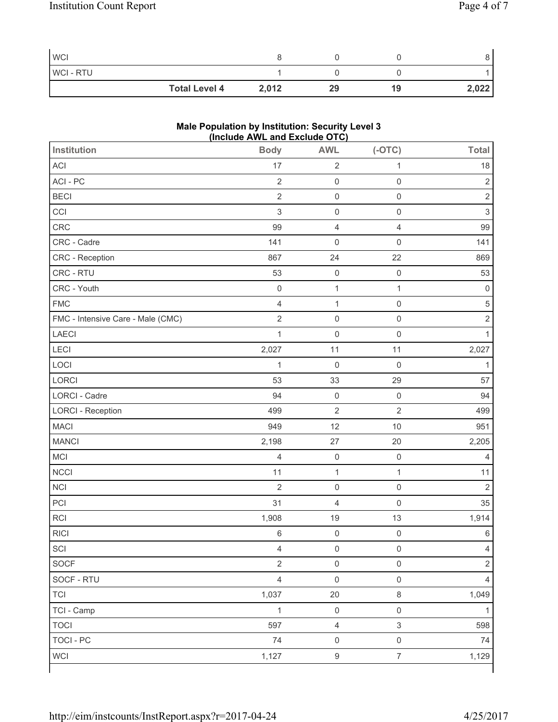| <b>WCI</b> |                      |       |    |    | ັ     |
|------------|----------------------|-------|----|----|-------|
| WCI-RTU    |                      |       |    |    |       |
|            | <b>Total Level 4</b> | 2,012 | 29 | 19 | 2,022 |

# **Male Population by Institution: Security Level 3 (Include AWL and Exclude OTC)**

| <b>Institution</b>                | <b>INCIDENT ATTLE AND EXCIDED OT OF</b><br><b>Body</b> | <b>AWL</b>          | $(-OTC)$            | <b>Total</b>              |
|-----------------------------------|--------------------------------------------------------|---------------------|---------------------|---------------------------|
| <b>ACI</b>                        | 17                                                     | $\overline{2}$      | $\mathbf 1$         | 18                        |
| ACI-PC                            | $\sqrt{2}$                                             | $\mathsf 0$         | $\mathsf{O}\xspace$ | $\sqrt{2}$                |
| <b>BECI</b>                       | $\overline{2}$                                         | $\mathsf 0$         | $\mathsf{O}\xspace$ | $\overline{2}$            |
| CCI                               | 3                                                      | $\mathsf{O}\xspace$ | $\mathsf{O}\xspace$ | $\ensuremath{\mathsf{3}}$ |
| CRC                               | 99                                                     | $\overline{4}$      | $\overline{4}$      | 99                        |
| CRC - Cadre                       | 141                                                    | $\mathsf{O}\xspace$ | $\mathsf 0$         | 141                       |
| CRC - Reception                   | 867                                                    | 24                  | 22                  | 869                       |
| CRC - RTU                         | 53                                                     | $\mathsf{O}\xspace$ | $\mathsf{O}\xspace$ | 53                        |
| CRC - Youth                       | $\mathsf 0$                                            | $\mathbf 1$         | $\mathbf{1}$        | $\pmb{0}$                 |
| <b>FMC</b>                        | $\overline{4}$                                         | $\mathbf{1}$        | $\mathbf 0$         | $\sqrt{5}$                |
| FMC - Intensive Care - Male (CMC) | $\overline{2}$                                         | $\mathsf 0$         | $\mathsf 0$         | $\mathbf 2$               |
| LAECI                             | $\mathbf{1}$                                           | $\mathsf{O}\xspace$ | $\mathsf{O}\xspace$ | $\mathbf{1}$              |
| <b>LECI</b>                       | 2,027                                                  | 11                  | 11                  | 2,027                     |
| LOCI                              | $\mathbf{1}$                                           | $\mathsf{O}\xspace$ | $\mathsf{O}\xspace$ | 1                         |
| LORCI                             | 53                                                     | 33                  | 29                  | 57                        |
| LORCI - Cadre                     | 94                                                     | $\mathsf{O}\xspace$ | $\mathbf 0$         | 94                        |
| <b>LORCI - Reception</b>          | 499                                                    | $\overline{2}$      | $\overline{2}$      | 499                       |
| <b>MACI</b>                       | 949                                                    | 12                  | 10                  | 951                       |
| <b>MANCI</b>                      | 2,198                                                  | 27                  | 20                  | 2,205                     |
| MCI                               | $\overline{4}$                                         | $\mathsf{O}\xspace$ | $\mathsf{O}\xspace$ | 4                         |
| <b>NCCI</b>                       | 11                                                     | $\mathbf{1}$        | $\mathbf{1}$        | 11                        |
| <b>NCI</b>                        | $\overline{2}$                                         | $\mathsf{O}\xspace$ | $\mathsf{O}\xspace$ | $\overline{2}$            |
| PCI                               | 31                                                     | $\overline{4}$      | $\mathbf 0$         | 35                        |
| RCI                               | 1,908                                                  | 19                  | 13                  | 1,914                     |
| <b>RICI</b>                       | 6                                                      | $\mathsf 0$         | $\mathsf{O}\xspace$ | 6                         |
| SCI                               | $\overline{4}$                                         | $\mathsf{O}\xspace$ | $\mathsf{O}\xspace$ | $\overline{4}$            |
| SOCF                              | $\overline{2}$                                         | $\mathsf{O}\xspace$ | $\mathsf{O}\xspace$ | $\overline{2}$            |
| SOCF - RTU                        | $\overline{4}$                                         | $\mathsf{O}\xspace$ | $\mathsf{O}\xspace$ | $\overline{4}$            |
| <b>TCI</b>                        | 1,037                                                  | 20                  | $\,8\,$             | 1,049                     |
| TCI - Camp                        | $\mathbf{1}$                                           | $\mathsf 0$         | $\mathbf 0$         | 1                         |
| <b>TOCI</b>                       | 597                                                    | $\overline{4}$      | $\mathfrak{S}$      | 598                       |
| <b>TOCI - PC</b>                  | 74                                                     | $\mathsf{O}\xspace$ | $\mathsf{O}\xspace$ | 74                        |
| <b>WCI</b>                        | 1,127                                                  | $\boldsymbol{9}$    | $\overline{7}$      | 1,129                     |
|                                   |                                                        |                     |                     |                           |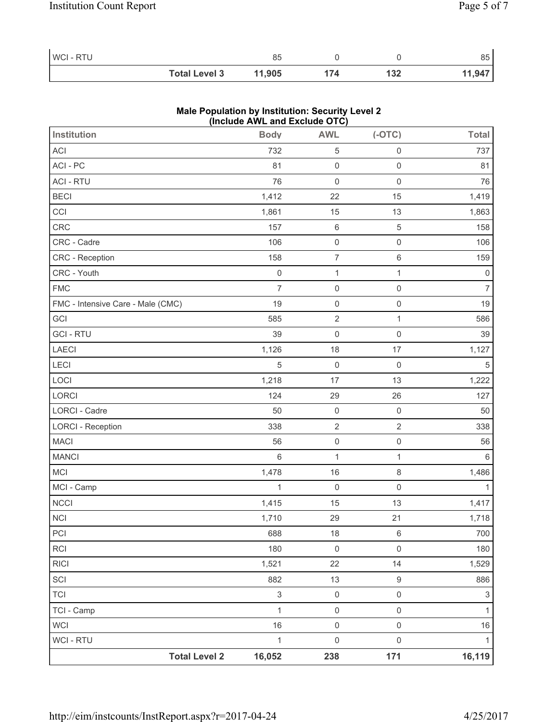| WCI-RTU |                      | 85     |     |     | 85     |
|---------|----------------------|--------|-----|-----|--------|
|         | <b>Total Level 3</b> | 11,905 | 174 | 132 | 11,947 |

# **Male Population by Institution: Security Level 2 (Include AWL and Exclude OTC)**

| <b>Institution</b>                | <b>Body</b>               | <b>AWL</b>          | $(-OTC)$            | <b>Total</b>   |
|-----------------------------------|---------------------------|---------------------|---------------------|----------------|
| ACI                               | 732                       | $\sqrt{5}$          | $\mathbf 0$         | 737            |
| ACI - PC                          | 81                        | $\mathsf{O}\xspace$ | $\mathsf 0$         | 81             |
| <b>ACI - RTU</b>                  | 76                        | $\mathsf{O}\xspace$ | $\mathbf 0$         | 76             |
| <b>BECI</b>                       | 1,412                     | 22                  | 15                  | 1,419          |
| CCI                               | 1,861                     | 15                  | 13                  | 1,863          |
| CRC                               | 157                       | $\,6\,$             | $\overline{5}$      | 158            |
| CRC - Cadre                       | 106                       | $\mathsf{O}\xspace$ | $\mathsf 0$         | 106            |
| CRC - Reception                   | 158                       | $\boldsymbol{7}$    | $\,6\,$             | 159            |
| CRC - Youth                       | $\mathsf{O}\xspace$       | $\mathbf{1}$        | $\mathbf{1}$        | $\mathbf 0$    |
| <b>FMC</b>                        | $\overline{7}$            | $\mathsf{O}\xspace$ | $\mathsf{O}\xspace$ | $\overline{7}$ |
| FMC - Intensive Care - Male (CMC) | 19                        | $\mathsf 0$         | $\mathbf 0$         | 19             |
| GCI                               | 585                       | $\mathbf 2$         | $\mathbf 1$         | 586            |
| <b>GCI-RTU</b>                    | 39                        | $\mathsf{O}\xspace$ | $\mathbf 0$         | 39             |
| LAECI                             | 1,126                     | 18                  | 17                  | 1,127          |
| LECI                              | 5                         | $\mathsf 0$         | $\mathsf{O}\xspace$ | 5              |
| LOCI                              | 1,218                     | 17                  | 13                  | 1,222          |
| LORCI                             | 124                       | 29                  | 26                  | 127            |
| <b>LORCI - Cadre</b>              | 50                        | $\mathsf{O}\xspace$ | $\mathsf{O}\xspace$ | 50             |
| <b>LORCI - Reception</b>          | 338                       | $\overline{2}$      | $\sqrt{2}$          | 338            |
| MACI                              | 56                        | $\mathsf{O}\xspace$ | $\mathsf{O}\xspace$ | 56             |
| <b>MANCI</b>                      | $6\,$                     | $\mathbf{1}$        | $\mathbf{1}$        | $\,6$          |
| MCI                               | 1,478                     | 16                  | $\,8\,$             | 1,486          |
| MCI - Camp                        | 1                         | $\mathsf{O}$        | $\mathsf{O}\xspace$ | $\mathbf{1}$   |
| NCCI                              | 1,415                     | 15                  | 13                  | 1,417          |
| <b>NCI</b>                        | 1,710                     | 29                  | 21                  | 1,718          |
| PCI                               | 688                       | 18                  | $\,6\,$             | 700            |
| <b>RCI</b>                        | 180                       | $\mathsf{O}\xspace$ | $\mathsf{O}\xspace$ | 180            |
| <b>RICI</b>                       | 1,521                     | 22                  | 14                  | 1,529          |
| SCI                               | 882                       | 13                  | $\mathsf g$         | 886            |
| <b>TCI</b>                        | $\ensuremath{\mathsf{3}}$ | $\mathsf{O}\xspace$ | $\mathsf{O}\xspace$ | $\mathfrak{S}$ |
| TCI - Camp                        | $\mathbf{1}$              | $\mathsf{O}\xspace$ | $\mathsf{O}\xspace$ | $\mathbf{1}$   |
| WCI                               | 16                        | $\mathsf{O}\xspace$ | $\mathsf{O}\xspace$ | $16$           |
| WCI - RTU                         | 1                         | $\mathsf{O}\xspace$ | $\mathsf 0$         | $\mathbf{1}$   |
| <b>Total Level 2</b>              | 16,052                    | 238                 | 171                 | 16,119         |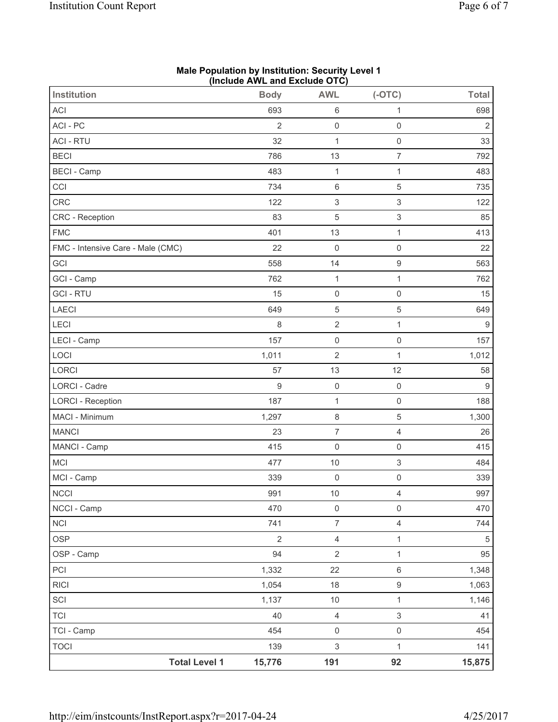|                                   | (III)          |                           |                     |                |
|-----------------------------------|----------------|---------------------------|---------------------|----------------|
| <b>Institution</b>                | <b>Body</b>    | <b>AWL</b>                | $(-OTC)$            | <b>Total</b>   |
| ACI                               | 693            | $\,6\,$                   | 1                   | 698            |
| ACI - PC                          | $\overline{2}$ | $\mathsf{O}\xspace$       | $\mathbf 0$         | $\overline{2}$ |
| <b>ACI - RTU</b>                  | 32             | $\mathbf{1}$              | $\mathsf{O}\xspace$ | 33             |
| <b>BECI</b>                       | 786            | 13                        | $\overline{7}$      | 792            |
| <b>BECI</b> - Camp                | 483            | $\mathbf 1$               | $\mathbf{1}$        | 483            |
| CCI                               | 734            | $\,6\,$                   | 5                   | 735            |
| CRC                               | 122            | $\ensuremath{\mathsf{3}}$ | 3                   | 122            |
| CRC - Reception                   | 83             | $\mathbf 5$               | 3                   | 85             |
| <b>FMC</b>                        | 401            | 13                        | $\mathbf 1$         | 413            |
| FMC - Intensive Care - Male (CMC) | 22             | $\mathbf 0$               | $\mathsf{O}\xspace$ | 22             |
| GCI                               | 558            | 14                        | $\boldsymbol{9}$    | 563            |
| GCI - Camp                        | 762            | $\mathbf 1$               | $\mathbf{1}$        | 762            |
| <b>GCI-RTU</b>                    | 15             | $\mathsf{O}\xspace$       | $\mathbf 0$         | 15             |
| LAECI                             | 649            | $\mathbf 5$               | 5                   | 649            |
| LECI                              | 8              | $\sqrt{2}$                | $\mathbf{1}$        | 9              |
| LECI - Camp                       | 157            | $\mathsf{O}\xspace$       | $\mathbf 0$         | 157            |
| LOCI                              | 1,011          | $\overline{2}$            | $\mathbf{1}$        | 1,012          |
| LORCI                             | 57             | 13                        | 12                  | 58             |
| <b>LORCI - Cadre</b>              | $\mathsf g$    | $\mathsf{O}\xspace$       | $\mathsf{O}\xspace$ | $9\,$          |
| <b>LORCI - Reception</b>          | 187            | $\mathbf{1}$              | $\mathsf{O}\xspace$ | 188            |
| MACI - Minimum                    | 1,297          | $\,8\,$                   | 5                   | 1,300          |
| <b>MANCI</b>                      | 23             | $\overline{7}$            | $\overline{4}$      | 26             |
| MANCI - Camp                      | 415            | $\mathsf{O}\xspace$       | $\mathbf 0$         | 415            |
| MCI                               | 477            | $10$                      | 3                   | 484            |
| MCI - Camp                        | 339            | $\mathsf{O}\xspace$       | $\mathsf{O}\xspace$ | 339            |
| NCCI                              | 991            | $10$                      | 4                   | 997            |
| NCCI - Camp                       | 470            | $\mathsf{O}\xspace$       | $\mathsf 0$         | 470            |
| <b>NCI</b>                        | 741            | $\overline{7}$            | $\overline{4}$      | 744            |
| OSP                               | $\overline{2}$ | $\overline{4}$            | $\mathbf{1}$        | 5              |
| OSP - Camp                        | 94             | $\overline{2}$            | 1                   | 95             |
| PCI                               | 1,332          | 22                        | $\,6$               | 1,348          |
| <b>RICI</b>                       | 1,054          | 18                        | $\hbox{9}$          | 1,063          |
| SCI                               | 1,137          | $10$                      | $\mathbf{1}$        | 1,146          |
| <b>TCI</b>                        | 40             | $\overline{4}$            | $\mathfrak{S}$      | 41             |
| TCI - Camp                        | 454            | $\mathsf{O}\xspace$       | $\mathsf{O}\xspace$ | 454            |
| <b>TOCI</b>                       | 139            | $\mathsf 3$               | $\mathbf{1}$        | 141            |
| <b>Total Level 1</b>              | 15,776         | 191                       | 92                  | 15,875         |

#### **Male Population by Institution: Security Level 1 (Include AWL and Exclude OTC)**